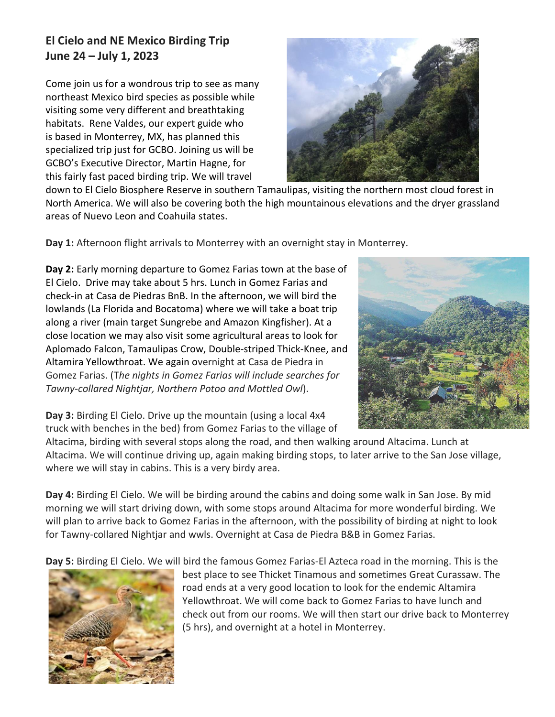## **El Cielo and NE Mexico Birding Trip June 24 – July 1, 2023**

Come join us for a wondrous trip to see as many northeast Mexico bird species as possible while visiting some very different and breathtaking habitats. Rene Valdes, our expert guide who is based in Monterrey, MX, has planned this specialized trip just for GCBO. Joining us will be GCBO's Executive Director, Martin Hagne, for this fairly fast paced birding trip. We will travel



down to El Cielo Biosphere Reserve in southern Tamaulipas, visiting the northern most cloud forest in North America. We will also be covering both the high mountainous elevations and the dryer grassland areas of Nuevo Leon and Coahuila states.

**Day 1:** Afternoon flight arrivals to Monterrey with an overnight stay in Monterrey.

**Day 2:** Early morning departure to Gomez Farias town at the base of El Cielo. Drive may take about 5 hrs. Lunch in Gomez Farias and check-in at Casa de Piedras BnB. In the afternoon, we will bird the lowlands (La Florida and Bocatoma) where we will take a boat trip along a river (main target Sungrebe and Amazon Kingfisher). At a close location we may also visit some agricultural areas to look for Aplomado Falcon, Tamaulipas Crow, Double-striped Thick-Knee, and Altamira Yellowthroat. We again overnight at Casa de Piedra in Gomez Farias. (T*he nights in Gomez Farias will include searches for Tawny-collared Nightjar, Northern Potoo and Mottled Owl*).



**Day 3:** Birding El Cielo. Drive up the mountain (using a local 4x4 truck with benches in the bed) from Gomez Farias to the village of

Altacima, birding with several stops along the road, and then walking around Altacima. Lunch at Altacima. We will continue driving up, again making birding stops, to later arrive to the San Jose village, where we will stay in cabins. This is a very birdy area.

**Day 4:** Birding El Cielo. We will be birding around the cabins and doing some walk in San Jose. By mid morning we will start driving down, with some stops around Altacima for more wonderful birding. We will plan to arrive back to Gomez Farias in the afternoon, with the possibility of birding at night to look for Tawny-collared Nightjar and wwls. Overnight at Casa de Piedra B&B in Gomez Farias.

**Day 5:** Birding El Cielo. We will bird the famous Gomez Farias-El Azteca road in the morning. This is the



best place to see Thicket Tinamous and sometimes Great Curassaw. The road ends at a very good location to look for the endemic Altamira Yellowthroat. We will come back to Gomez Farias to have lunch and check out from our rooms. We will then start our drive back to Monterrey (5 hrs), and overnight at a hotel in Monterrey.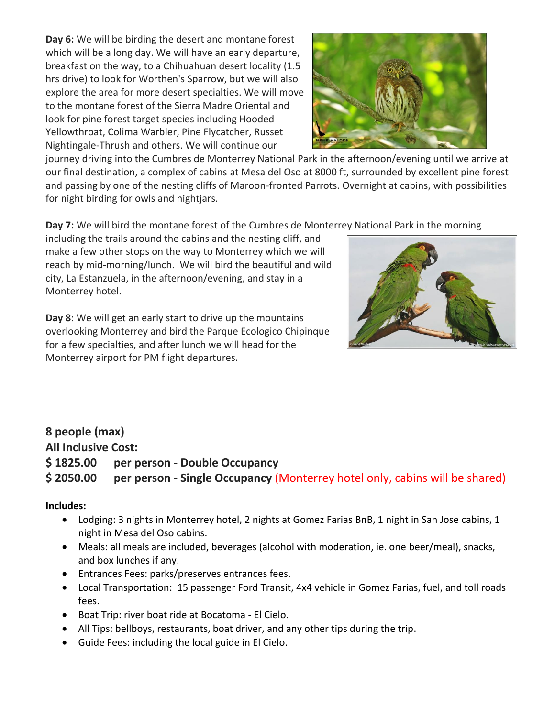**Day 6:** We will be birding the desert and montane forest which will be a long day. We will have an early departure, breakfast on the way, to a Chihuahuan desert locality (1.5 hrs drive) to look for Worthen's Sparrow, but we will also explore the area for more desert specialties. We will move to the montane forest of the Sierra Madre Oriental and look for pine forest target species including Hooded Yellowthroat, Colima Warbler, Pine Flycatcher, Russet Nightingale-Thrush and others. We will continue our



journey driving into the Cumbres de Monterrey National Park in the afternoon/evening until we arrive at our final destination, a complex of cabins at Mesa del Oso at 8000 ft, surrounded by excellent pine forest and passing by one of the nesting cliffs of Maroon-fronted Parrots. Overnight at cabins, with possibilities for night birding for owls and nightjars.

**Day 7:** We will bird the montane forest of the Cumbres de Monterrey National Park in the morning

including the trails around the cabins and the nesting cliff, and make a few other stops on the way to Monterrey which we will reach by mid-morning/lunch.We will bird the beautiful and wild city, La Estanzuela, in the afternoon/evening, and stay in a Monterrey hotel.

**Day 8**: We will get an early start to drive up the mountains overlooking Monterrey and bird the Parque Ecologico Chipinque for a few specialties, and after lunch we will head for the Monterrey airport for PM flight departures.



## **8 people (max)**

**All Inclusive Cost: \$ 1825.00 per person - Double Occupancy \$ 2050.00 per person - Single Occupancy** (Monterrey hotel only, cabins will be shared)

## **Includes:**

- Lodging: 3 nights in Monterrey hotel, 2 nights at Gomez Farias BnB, 1 night in San Jose cabins, 1 night in Mesa del Oso cabins.
- Meals: all meals are included, beverages (alcohol with moderation, ie. one beer/meal), snacks, and box lunches if any.
- Entrances Fees: parks/preserves entrances fees.
- Local Transportation: 15 passenger Ford Transit, 4x4 vehicle in Gomez Farias, fuel, and toll roads fees.
- Boat Trip: river boat ride at Bocatoma El Cielo.
- All Tips: bellboys, restaurants, boat driver, and any other tips during the trip.
- Guide Fees: including the local guide in El Cielo.